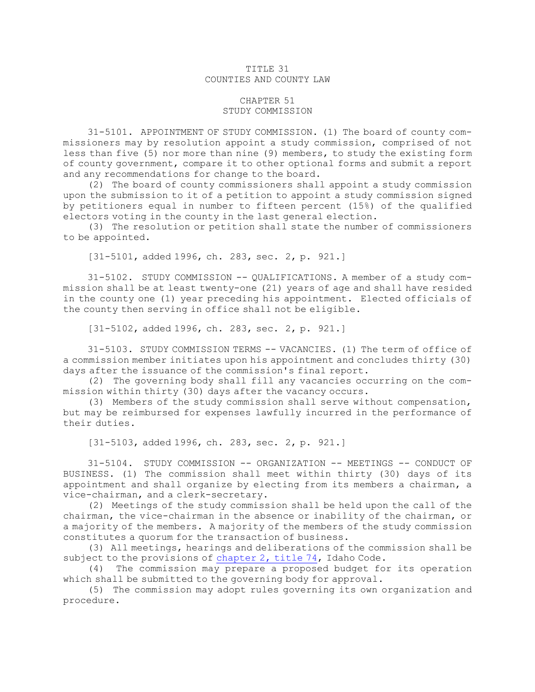## TITLE 31 COUNTIES AND COUNTY LAW

## CHAPTER 51 STUDY COMMISSION

31-5101. APPOINTMENT OF STUDY COMMISSION. (1) The board of county commissioners may by resolution appoint <sup>a</sup> study commission, comprised of not less than five (5) nor more than nine (9) members, to study the existing form of county government, compare it to other optional forms and submit <sup>a</sup> report and any recommendations for change to the board.

(2) The board of county commissioners shall appoint <sup>a</sup> study commission upon the submission to it of <sup>a</sup> petition to appoint <sup>a</sup> study commission signed by petitioners equal in number to fifteen percent (15%) of the qualified electors voting in the county in the last general election.

(3) The resolution or petition shall state the number of commissioners to be appointed.

[31-5101, added 1996, ch. 283, sec. 2, p. 921.]

31-5102. STUDY COMMISSION -- QUALIFICATIONS. A member of <sup>a</sup> study commission shall be at least twenty-one (21) years of age and shall have resided in the county one (1) year preceding his appointment. Elected officials of the county then serving in office shall not be eligible.

[31-5102, added 1996, ch. 283, sec. 2, p. 921.]

31-5103. STUDY COMMISSION TERMS -- VACANCIES. (1) The term of office of <sup>a</sup> commission member initiates upon his appointment and concludes thirty (30) days after the issuance of the commission's final report.

(2) The governing body shall fill any vacancies occurring on the commission within thirty (30) days after the vacancy occurs.

(3) Members of the study commission shall serve without compensation, but may be reimbursed for expenses lawfully incurred in the performance of their duties.

[31-5103, added 1996, ch. 283, sec. 2, p. 921.]

31-5104. STUDY COMMISSION -- ORGANIZATION -- MEETINGS -- CONDUCT OF BUSINESS. (1) The commission shall meet within thirty (30) days of its appointment and shall organize by electing from its members <sup>a</sup> chairman, <sup>a</sup> vice-chairman, and <sup>a</sup> clerk-secretary.

(2) Meetings of the study commission shall be held upon the call of the chairman, the vice-chairman in the absence or inability of the chairman, or <sup>a</sup> majority of the members. <sup>A</sup> majority of the members of the study commission constitutes <sup>a</sup> quorum for the transaction of business.

(3) All meetings, hearings and deliberations of the commission shall be subject to the provisions of [chapter](https://legislature.idaho.gov/statutesrules/idstat/Title74/T74CH2) 2, title 74, Idaho Code.

(4) The commission may prepare <sup>a</sup> proposed budget for its operation which shall be submitted to the governing body for approval.

(5) The commission may adopt rules governing its own organization and procedure.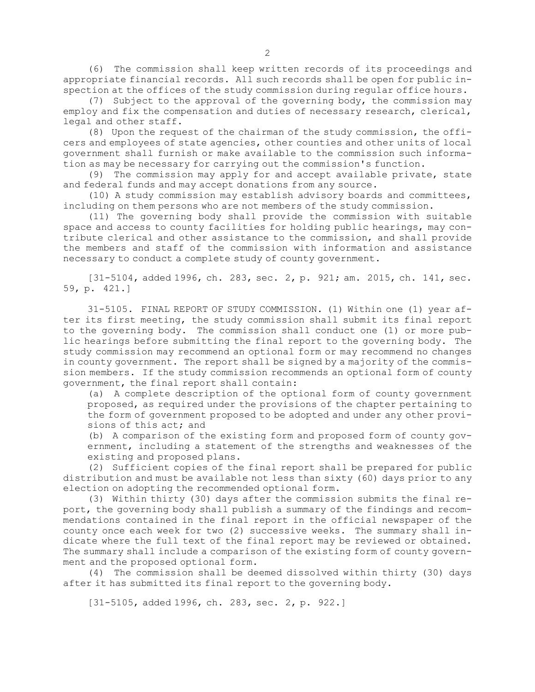(6) The commission shall keep written records of its proceedings and appropriate financial records. All such records shall be open for public inspection at the offices of the study commission during regular office hours.

(7) Subject to the approval of the governing body, the commission may employ and fix the compensation and duties of necessary research, clerical, legal and other staff.

(8) Upon the request of the chairman of the study commission, the officers and employees of state agencies, other counties and other units of local government shall furnish or make available to the commission such information as may be necessary for carrying out the commission's function.

(9) The commission may apply for and accept available private, state and federal funds and may accept donations from any source.

(10) <sup>A</sup> study commission may establish advisory boards and committees, including on them persons who are not members of the study commission.

(11) The governing body shall provide the commission with suitable space and access to county facilities for holding public hearings, may contribute clerical and other assistance to the commission, and shall provide the members and staff of the commission with information and assistance necessary to conduct <sup>a</sup> complete study of county government.

[31-5104, added 1996, ch. 283, sec. 2, p. 921; am. 2015, ch. 141, sec. 59, p. 421.]

31-5105. FINAL REPORT OF STUDY COMMISSION. (1) Within one (1) year after its first meeting, the study commission shall submit its final report to the governing body. The commission shall conduct one (1) or more public hearings before submitting the final report to the governing body. The study commission may recommend an optional form or may recommend no changes in county government. The report shall be signed by <sup>a</sup> majority of the commission members. If the study commission recommends an optional form of county government, the final report shall contain:

(a) <sup>A</sup> complete description of the optional form of county government proposed, as required under the provisions of the chapter pertaining to the form of government proposed to be adopted and under any other provisions of this act; and

(b) <sup>A</sup> comparison of the existing form and proposed form of county government, including <sup>a</sup> statement of the strengths and weaknesses of the existing and proposed plans.

(2) Sufficient copies of the final report shall be prepared for public distribution and must be available not less than sixty (60) days prior to any election on adopting the recommended optional form.

(3) Within thirty (30) days after the commission submits the final report, the governing body shall publish <sup>a</sup> summary of the findings and recommendations contained in the final report in the official newspaper of the county once each week for two (2) successive weeks. The summary shall indicate where the full text of the final report may be reviewed or obtained. The summary shall include <sup>a</sup> comparison of the existing form of county government and the proposed optional form.

(4) The commission shall be deemed dissolved within thirty (30) days after it has submitted its final report to the governing body.

[31-5105, added 1996, ch. 283, sec. 2, p. 922.]